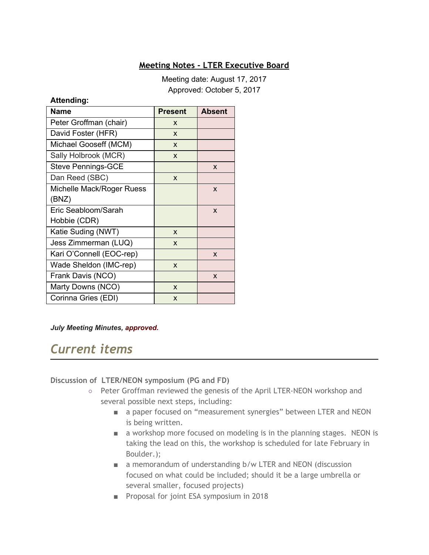# **Meeting Notes - LTER Executive Board**

Meeting date: August 17, 2017 Approved: October 5, 2017

#### **Attending:**

| Name                      | <b>Present</b> | <b>Absent</b> |
|---------------------------|----------------|---------------|
| Peter Groffman (chair)    | X              |               |
| David Foster (HFR)        | X              |               |
| Michael Gooseff (MCM)     | X              |               |
| Sally Holbrook (MCR)      | X              |               |
| <b>Steve Pennings-GCE</b> |                | X             |
| Dan Reed (SBC)            | X              |               |
| Michelle Mack/Roger Ruess |                | X             |
| (BNZ)                     |                |               |
| Eric Seabloom/Sarah       |                | X             |
| Hobbie (CDR)              |                |               |
| Katie Suding (NWT)        | X              |               |
| Jess Zimmerman (LUQ)      | X              |               |
| Kari O'Connell (EOC-rep)  |                | X             |
| Wade Sheldon (IMC-rep)    | X              |               |
| Frank Davis (NCO)         |                | X             |
| Marty Downs (NCO)         | X              |               |
| Corinna Gries (EDI)       | X              |               |

#### *July Meeting Minutes, approved.*

# *Current items*

#### **Discussion of LTER/NEON symposium (PG and FD)**

- Peter Groffman reviewed the genesis of the April LTER-NEON workshop and several possible next steps, including:
	- a paper focused on "measurement synergies" between LTER and NEON is being written.
	- a workshop more focused on modeling is in the planning stages. NEON is taking the lead on this, the workshop is scheduled for late February in Boulder.);
	- a memorandum of understanding b/w LTER and NEON (discussion focused on what could be included; should it be a large umbrella or several smaller, focused projects)
	- Proposal for joint ESA symposium in 2018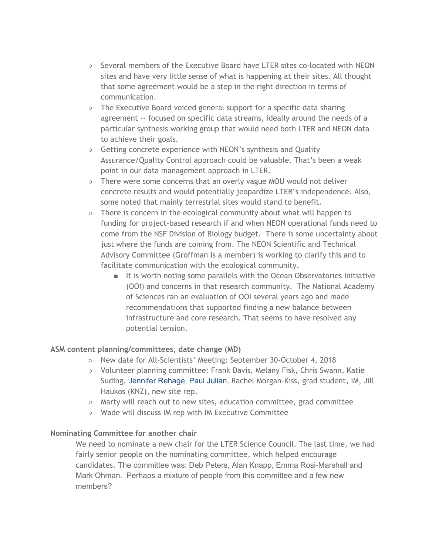- Several members of the Executive Board have LTER sites co-located with NEON sites and have very little sense of what is happening at their sites. All thought that some agreement would be a step in the right direction in terms of communication.
- The Executive Board voiced general support for a specific data sharing agreement -- focused on specific data streams, ideally around the needs of a particular synthesis working group that would need both LTER and NEON data to achieve their goals.
- Getting concrete experience with NEON's synthesis and Quality Assurance/Quality Control approach could be valuable. That's been a weak point in our data management approach in LTER.
- There were some concerns that an overly vague MOU would not deliver concrete results and would potentially jeopardize LTER's independence. Also, some noted that mainly terrestrial sites would stand to benefit.
- There is concern in the ecological community about what will happen to funding for project-based research if and when NEON operational funds need to come from the NSF Division of Biology budget. There is some uncertainty about just where the funds are coming from. The NEON Scientific and Technical Advisory Committee (Groffman is a member) is working to clarify this and to facilitate communication with the ecological community.
	- It is worth noting some parallels with the Ocean Observatories Initiative (OOI) and concerns in that research community. The National Academy of Sciences ran an evaluation of OOI several years ago and made recommendations that supported finding a new balance between infrastructure and core research. That seems to have resolved any potential tension.

## **ASM content planning/committees, date change (MD)**

- New date for All-Scientists' Meeting: September 30-October 4, 2018
- Volunteer planning committee: Frank Davis, Melany Fisk, Chris Swann, Katie Suding, Jennifer Rehage, Paul Julian, Rachel Morgan-Kiss, grad student, IM, Jill Haukos (KNZ), new site rep.
- Marty will reach out to new sites, education committee, grad committee
- Wade will discuss IM rep with IM Executive Committee

## **Nominating Committee for another chair**

We need to nominate a new chair for the LTER Science Council. The last time, we had fairly senior people on the nominating committee, which helped encourage candidates. The committee was: Deb Peters, Alan Knapp, Emma Rosi-Marshall and Mark Ohman. Perhaps a mixture of people from this committee and a few new members?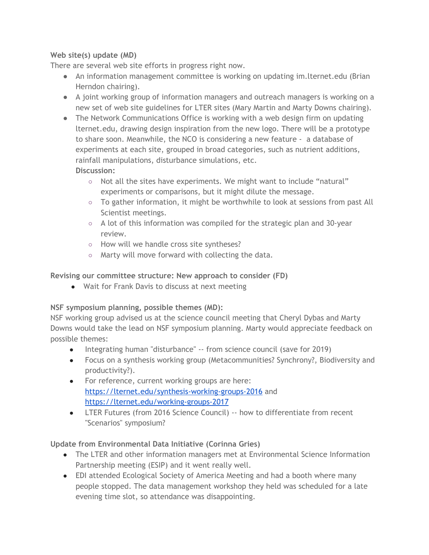# **Web site(s) update (MD)**

There are several web site efforts in progress right now.

- An information management committee is working on updating im.lternet.edu (Brian Herndon chairing).
- A joint working group of information managers and outreach managers is working on a new set of web site guidelines for LTER sites (Mary Martin and Marty Downs chairing).
- The Network Communications Office is working with a web design firm on updating lternet.edu, drawing design inspiration from the new logo. There will be a prototype to share soon. Meanwhile, the NCO is considering a new feature - a database of experiments at each site, grouped in broad categories, such as nutrient additions, rainfall manipulations, disturbance simulations, etc. **Discussion:**
	- Not all the sites have experiments. We might want to include "natural" experiments or comparisons, but it might dilute the message.
	- To gather information, it might be worthwhile to look at sessions from past All Scientist meetings.
	- A lot of this information was compiled for the strategic plan and 30-year review.
	- How will we handle cross site syntheses?
	- Marty will move forward with collecting the data.

**Revising our committee structure: New approach to consider (FD)**

● Wait for Frank Davis to discuss at next meeting

**NSF symposium planning, possible themes (MD):**

NSF working group advised us at the science council meeting that Cheryl Dybas and Marty Downs would take the lead on NSF symposium planning. Marty would appreciate feedback on possible themes:

- Integrating human "disturbance" -- from science council (save for 2019)
- Focus on a synthesis working group (Metacommunities? Synchrony?, Biodiversity and productivity?).
- For reference, current working groups are here: <https://lternet.edu/synthesis-working-groups-2016> and <https://lternet.edu/working-groups-2017>
- LTER Futures (from 2016 Science Council) -- how to differentiate from recent "Scenarios" symposium?

# **Update from Environmental Data Initiative (Corinna Gries)**

- The LTER and other information managers met at Environmental Science Information Partnership meeting (ESIP) and it went really well.
- EDI attended Ecological Society of America Meeting and had a booth where many people stopped. The data management workshop they held was scheduled for a late evening time slot, so attendance was disappointing.